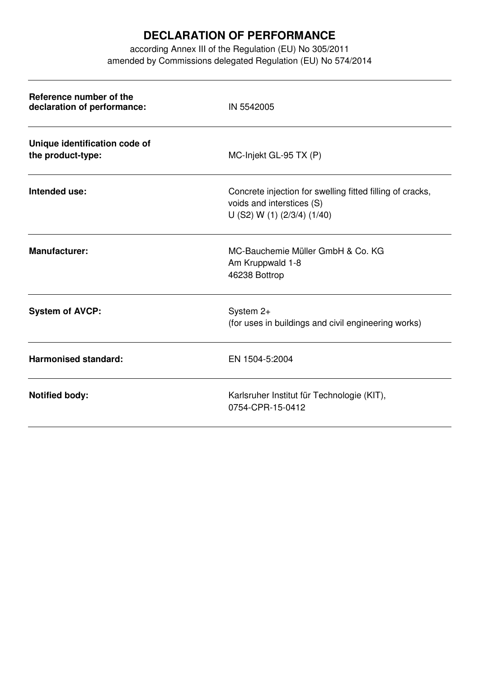## **DECLARATION OF PERFORMANCE**

according Annex III of the Regulation (EU) No 305/2011 amended by Commissions delegated Regulation (EU) No 574/2014

| Reference number of the<br>declaration of performance: | IN 5542005                                                                                                            |  |
|--------------------------------------------------------|-----------------------------------------------------------------------------------------------------------------------|--|
| Unique identification code of<br>the product-type:     | MC-Injekt GL-95 TX (P)                                                                                                |  |
| Intended use:                                          | Concrete injection for swelling fitted filling of cracks,<br>voids and interstices (S)<br>U (S2) W (1) (2/3/4) (1/40) |  |
| <b>Manufacturer:</b>                                   | MC-Bauchemie Müller GmbH & Co. KG<br>Am Kruppwald 1-8<br>46238 Bottrop                                                |  |
| <b>System of AVCP:</b>                                 | System 2+<br>(for uses in buildings and civil engineering works)                                                      |  |
| <b>Harmonised standard:</b>                            | EN 1504-5:2004                                                                                                        |  |
| <b>Notified body:</b>                                  | Karlsruher Institut für Technologie (KIT),<br>0754-CPR-15-0412                                                        |  |